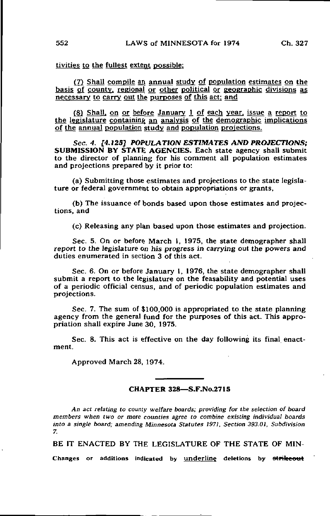tivities to the fullest extent possible:

(7) Shall compile an annual study of population estimates on the basis of county, regional or other political or eeographic divisions as necessary to carry out the purposes of this act; and

(8) Shall, on or before January 1 of each year, issue a report to the legislature containing an analysis of the demographic implications of the annual population study and population projections.

Sec. 4. [4.125] POPULATION ESTIMATES AND PROJECTIONS; SUBMISSION BY STATE AGENCIES. Each state agency shall submit to the director of planning for his comment all population estimates and projections prepared by it prior to:

(a) Submitting those estimates and projections to the state legislature or federal government to obtain appropriations or grants,

(b) The issuance of bonds based upon those estimates and projections, and

(c) Releasing any plan based upon those estimates and projection.

Sec. 5. On or before March 1, 1975, the state demographer shall report to the legislature on his progress in carrying out the powers and duties enumerated in section 3 of this act.

Sec. 6. On or before January 1, 1976, the state demographer shall submit a report to the legislature on the feasability and potential uses of a periodic official census, and of periodic population estimates and projections.

Sec. 7. The sum of \$100,000 is appropriated to the state planning agency from the general fund for the purposes of this act. This appropriation shall expire June 30, 1975.

Sec. 8. This act is effective on the day following its final enactment.

Approved March 28, 1974.

## CHAPTER 328—S.F.No.2715

An act relating to county welfare boards; providing for the selection of board members when two or more counties agree to combine existing individual boards into a single board; amending Minnesota Statutes 1971, Section 393.01, Subdivision 7.

BE IT ENACTED BY THE LEGISLATURE OF THE STATE OF MIN-

Changes or additions indicated by underline deletions by strikeout